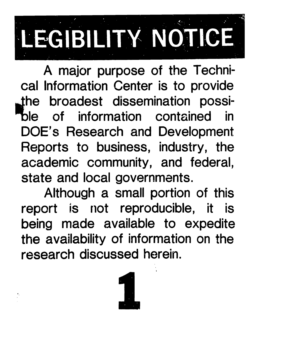# LEGIBILITY NOTICE

cal Information Center is to provide A major purpose of the Technithe broadest dissemination possiof information contained in DOE's Research and Development Reports to business, industry, the academic community, and federal state and local governments.

Although a small portion of this report is not reproducible, it is being made available to expedite the availability of information on the research discussed herein.



**I**

.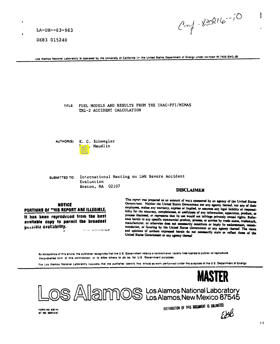$LA-UR--83-963$ 

DE83 015240

 $C_{cm}$  - 830816-10 Ï

Los Alamos National Laboratory is operated by the University of California ior the United States Department of Energy under contract W-7405-ENG-36

TITLE: FUEL MODELS AND RESULTS FROM THE TRAC-PF1/MIMAS TMI-2 ACCIDENT CALCULATION

AUTHOR(S): E. C. Schwegler P. J. Maudlin

SUBMITTED TO: International Meeting on LWR Severe Accident Evaluation Boston, MA 02107

# **DISCLAIMER**

# **NOTICE** PORTIONS OF THIS REPORT ARE ILLEGIBLE.

it has been reproduced from the best available copy to permit the broadest possible availability. *Common Common Common Common Common Common Common Common Common* 

This report was prepared as an account of work sponsored by an agency of the United States Governinent. Neither the United States Government nor any agency thereof, nor any of their employees, makes any warranty, express or implied, or assumes any legal liability or responsibility for the accuracy, completeness, or usefulness of any information, apparatus, product, or process disclosed, or represents that its use would not infringe privately owned rights. Reference herein to any specific commercial product, process, or service by trade name, trademark, manufacturer, or otherwise does not necessarily constitute or imply its endorsement, recommendation, or favoring by the United States Government or any agency thereof. The views and opinions of authors expressed herein do not necessarily state or reflect those of the United States Government or any agency thereof.

By acceptance of this article, the publisher recognizes that the U.S. Government retains a nonexclusive, royalty-free license to publish or reproduce the published form of this contribution, or to allow others to do so, for U.S. Government purposes

The Los Alamos National Laboratory requests that the publisher identify this article as work performed under the auspices of the U.S. Department of Energy



FORM NO. 636 HA 87 NO 2629 8/81 DISTRIBUTION OF THIS DOCUMENT IS UNLIMITED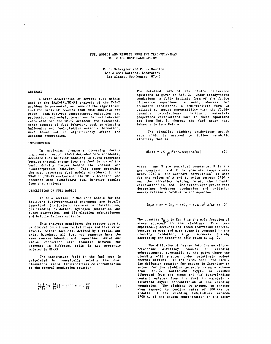# FUEL MODELS AND RESULTS FROM THE TRAC-PF1/MIMAS TMI-2 ACCIDENT CALCULATION

E. C. Schwegler and P. J. Maudlin Los Alamos National Laboratery Los Alamos, New Mexico 87545

#### **ABSTRACT**

A brief description of several fuel models used in the TRAC-PF1/MIMAS analysis of the TMI-2 accident is presented, and some of the significant fuel-rod behavior reaults from this analysis are given. Peak fuel-rod temperatures, oxidation heat production, and embrittlement and failure behavior calculated for the TMI-2 accident are discussed. Other aspects of fuel behavior, such as cladding ballooning and fuel-cladding eutectic formation, were found not to significantly affect the accident progression.

# INTRODUCTION

In analyzing phenomena occurring during<br>light-water reactor (LWR) degraded-core accidents, accurate fuel behavior modeling is quite important because thermal energy from the fuel is one of the basic driving forces behind the coolant and<br>fission-product behavior. This paper describes the most important fuel models considered in the TRAC-FF1/MIMAS analysis of the TMI-2 accident<sup>1</sup> and presents some significant fuel behavior results from that analysis.

#### DESCRIPTION OF FUEL MODELS

In this section, MIMAS code models for the following fuel-rod-related phenomena are briefly described: (1) fuel-rod temperature distribution, (2) cladding oxidation, hydrogen generation and<br>attam starvation, and (3) cladding embrittlement and brittle failure criteria.

This analysis considered the reactor core to be divided into three radial rings and five axial levels. Within each cell defined by a radial and axial boundary, all fuel rod segments have the same average behavior and properties. Axial and radial conduction heat transfer botween rod segments in different cells is not presently modeled in MIMAS.

The tamperature field in the fuel roda is calculated by numerically solving the onedimensional radial finice-difference approximation to the general conduction equation

$$
\frac{1}{r} \left( \frac{\partial}{\partial r} \left( r \mathbf{k} \frac{\partial T}{\partial r} \right) \right) + q^{-r-r} = pC_p \frac{\partial T}{\partial t} \tag{1}
$$

The detailed form of the finite difference equations is given in Ref. 2. Under steady-state conditions, a fully implicit form of the finite difference equations is used, whereas for<br>transient conditions, a semi-implicit form is utilized to assure compatability with the fluiddynamics calculations. Pertinent materials properties correlations used in these equations are from Ref. 3, whereas the fuel gecay heat behavior is from Ref. 4.

The zircalloy cladding oxide-layer growth rate dL/dt is assumed to follow parabolic kinetics, that is

$$
dL/dt = (X_{H_2O})^2 (\hbar/L) \exp(-B/RT)
$$
 (2)

where and B are empirical constants, R is the gas constant, and T is absolute temperature. Below 1760 K, the Cathcart correlation<sup>5</sup> is used for the values of A and B, while between 1760 K and the Zircalloy melting point, the Urbanic correlation<sup>6</sup> is used. The oxide-layer growth rate determines hydrogen production and oxidation energy release according to the equation

$$
2H_20 + Zr = 2H_2 + Zr0_2 + 6.5 \times 10^6
$$
 J/Kg Zr (3)

The quantity  $X_{H_2O}$  in Eq. 2 is the mole fraction of<br>steam adjacent to the cladding. This term empirically accounts for steam starvation effects, because as more and more steam is consumed by the cladding oxidation,  $X_{H_2O}$  decreases thereby decreasing the oxidation rate given by Eq. 2.

The diffusion of oxygen into the unoxidized beta-phase Zircalloy results in cladding embrittlement, eventually to the point where the<br>cladding will shatter under relatively modest thermal strains. In the MIMAS code, the Fick's law diffusion equation for oxygen in Zircalloy is solved for the cladding geometry using a scheme from Ref. 3. Sufficient oxygen is assumed<br>liberated from the steam and (if fuel-cladding<br>contact exists) from the fuel to maintain a saturated oxygen concentration at the cladding boundaries. The cladding in assumed to shatter when exposed to cooling rates of 100 K/s or<br>greater if the cladding temperature exceeds 1700 K, if the oxygen concentration in the beta-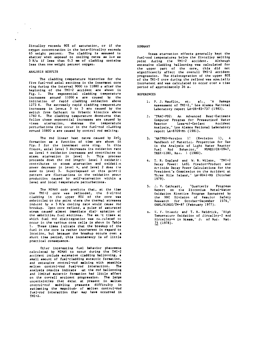Zircalloy exceeds 90% of saturation, cr if the oxygen concentration in the beta-Zircalloy exceeds 65 weight percent. The claddivg la aaaumed to shatter when exposed to cooling ratea aa l~w **aa 5 K/a if leaa than 0.3 mm** of cladding containa less than one weight percent oxygen.

### ANALYSIS RESILTS

.

 $\sim$ 

 $\sim$  .

The cladding temperature histories for the five fuel-rod axial sections in the innermost core ring during the interval 9000 to 11880 s after the beginning of the TMI-2 accident are shown in<br>Fig.1. The exponential cladding temperature increaaes around 11000 a are caueed by the initiation of rapid cladding oxidation **above** 1273 K. l%e **extremely rapid claddtng temperate increaaea in leve.a** 3 to 5 aru cauaed by the switch from Cathcart to Urbanic kinetics above 1760 K. The cladding temperature downturna that follow cheae exponential increaaes are cauaed by steam starvation, whereas the temperature perturbations that occur in the fuel-rod cladding around 10800 a are cauaed by control rod melting.

The rod linear heat rates caused by  $2r0<sub>2</sub>$ formation aa a function **of** time are shown in FiR. 2 for the innermost core ring. In this figure, axial level 5 decreases its oxidation rate **aa** level 4 oxidation increaaea and contrlbu:ea to stean starvation in level 5. This proces proceeds down the rod length: level 3 oxidat contributes to steam atarvation and oxidation power decrease in level 4, and level 2 does the same to level 3. Superimposed on this general pattern are fluctuations in the oxidation power production caused by self-starvation within a level and local temperature perturbations.

The MIMAS code predicts that, at the time the TMI-2 core was reflooded, the fuel-r cladding in the upper  $80\lambda$  of the core was cmbrittled to the point wl,ere the thermal atreanea induced by a 5 K/s cooling rate would cause rod breakup. Upon core reflood, a pulse of uaturated steam cauoed almost immediate diaiw cgration of the **emhrictlea** fuel nectiona. The ●X. -t timen ●t which fuel rod disintegration was calculated to occur in the **various core** celle is ehown in Table 1. These times indicate that the breakup of the **fuel** in the core ie rather incoherent in **regard to** location, but because the breakup occurs ovet a short time period, **chla incoherency ia of little practical** consequence.

Other interesting fuel behavior phenomena calculated by MIMAS to occur during the TMI-2 accident Include extensive cladding ballooning, a small amount of fuel-cladding eutectic formation, and extensive control-rod melting with possible molten control-rod fuel-rod interaction. The **analyeie reaultc indicate tat the** rod **ballooning** and limited eutectic formation had little effect on the overall accident progression. The larg uncertainties that exist at present in molte **cotttrol-rod ~d?~in~ praetmtn difficulty** in eutimating the magnitude of molten control-rod fuel-rod **interaction** that may hava **occurred in** TMI-2.

## **SUMMARY**

Steam starvation effects generally kept the fuel-rod temperatures below the Zircalloy melting point during the TMI-2 accident. Although extensive cladding ballooning was calculated for the upper part of the core, this did not  $signal$  affect the overall TMI-2 accident is accident  ${\tt s}$ progreaaion. The disintegration of the upper 80% of the TMI-2 core during the reflood was spacially incoherent and waa calculated to occur over a time period of approximately  $36$  s.

#### **REFERENCES**

- 1. ?. J. Maudlin, et. al., "'A **Damage** Assessment of TMI-2," Los Alamos Nation Laboratory report LA-uR-83-737 (1983).
- 2. "TRAC-PD2: An Advanced Best-Estim Computer Program for Pressurized Water Reactor Loss-of-Coolant Acciden Analysis," Los Alamos National Laborato **report** LA-8709-MS (1981).
- 3. "MATPRO-Version 1! (Revision 1), A Handbook of Material. Properties for Use in the Analyals **of** Light Water Redctor Fuel **RO** d Beha\ior," NuREc/cR-0947, TREE-1280, **Re#. 1** (1980).
- 4. 'r. R. England and W. B. Wilson, ""TNI-2 Decay Power: LASL FiPaion-Product and Actinide Decay Power Calculations for the President's Commission on the Accident at Three Mile Island," LA-8041-MS (October 1979).
- 5. J. V. Cathcart, J. V. Cathcart, "Quarterly Progre Report on the Zirconium Metal-Wat Oxidation Kinetica Program Sponwored by the NRC Division of Reactor Safet Research for October-December 1976, ORNL/NJREG/TM-87 (February 1977).
- 0. V. F. Urbantc end T. R. Heidrick, "High Temperature Oxidation of Zircalloy-2 and Zircalloy-4 in Steam," J. **of** Nut. Hat .  $\frac{75}{10}$  (1978).